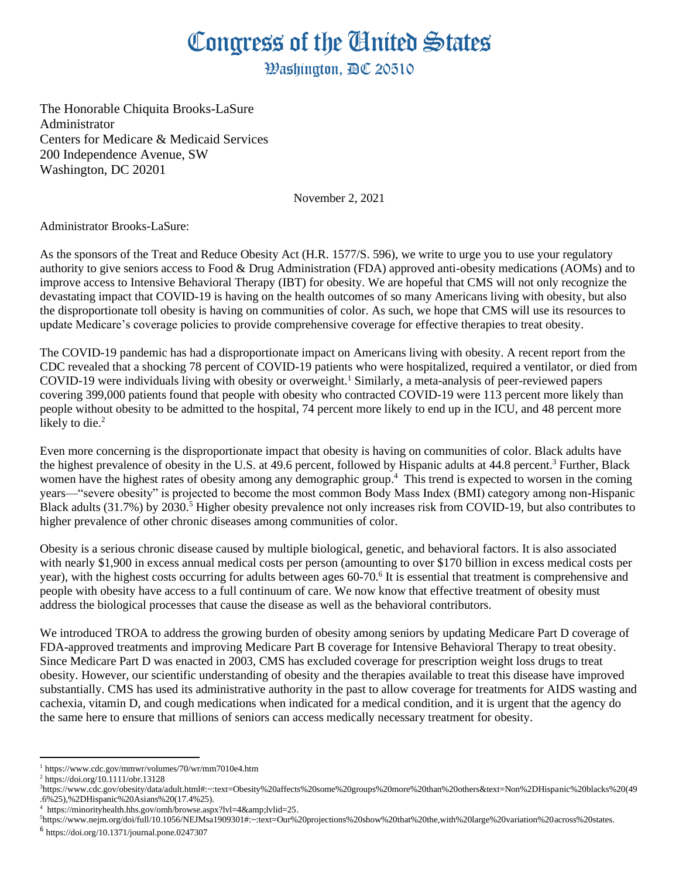## Congress of the Ginited States

**Washington, AC 20510** 

The Honorable Chiquita Brooks-LaSure Administrator Centers for Medicare & Medicaid Services 200 Independence Avenue, SW Washington, DC 20201

November 2, 2021

Administrator Brooks-LaSure:

As the sponsors of the Treat and Reduce Obesity Act (H.R. 1577/S. 596), we write to urge you to use your regulatory authority to give seniors access to Food & Drug Administration (FDA) approved anti-obesity medications (AOMs) and to improve access to Intensive Behavioral Therapy (IBT) for obesity. We are hopeful that CMS will not only recognize the devastating impact that COVID-19 is having on the health outcomes of so many Americans living with obesity, but also the disproportionate toll obesity is having on communities of color. As such, we hope that CMS will use its resources to update Medicare's coverage policies to provide comprehensive coverage for effective therapies to treat obesity.

The COVID-19 pandemic has had a disproportionate impact on Americans living with obesity. A recent report from the CDC revealed that a shocking 78 percent of COVID-19 patients who were hospitalized, required a ventilator, or died from COVID-19 were individuals living with obesity or overweight.<sup>1</sup> Similarly, a meta-analysis of peer-reviewed papers covering 399,000 patients found that people with obesity who contracted COVID-19 were 113 percent more likely than people without obesity to be admitted to the hospital, 74 percent more likely to end up in the ICU, and 48 percent more likely to die.<sup>2</sup>

Even more concerning is the disproportionate impact that obesity is having on communities of color. Black adults have the highest prevalence of obesity in the U.S. at 49.6 percent, followed by Hispanic adults at 44.8 percent.<sup>3</sup> Further, Black women have the highest rates of obesity among any demographic group.<sup>4</sup> This trend is expected to worsen in the coming years—"severe obesity" is projected to become the most common Body Mass Index (BMI) category among non-Hispanic Black adults (31.7%) by 2030.<sup>5</sup> Higher obesity prevalence not only increases risk from COVID-19, but also contributes to higher prevalence of other chronic diseases among communities of color.

Obesity is a serious chronic disease caused by multiple biological, genetic, and behavioral factors. It is also associated with nearly \$1,900 in excess annual medical costs per person (amounting to over \$170 billion in excess medical costs per year), with the highest costs occurring for adults between ages 60-70.<sup>6</sup> It is essential that treatment is comprehensive and people with obesity have access to a full continuum of care. We now know that effective treatment of obesity must address the biological processes that cause the disease as well as the behavioral contributors.

We introduced TROA to address the growing burden of obesity among seniors by updating Medicare Part D coverage of FDA-approved treatments and improving Medicare Part B coverage for Intensive Behavioral Therapy to treat obesity. Since Medicare Part D was enacted in 2003, CMS has excluded coverage for prescription weight loss drugs to treat obesity. However, our scientific understanding of obesity and the therapies available to treat this disease have improved substantially. CMS has used its administrative authority in the past to allow coverage for treatments for AIDS wasting and cachexia, vitamin D, and cough medications when indicated for a medical condition, and it is urgent that the agency do the same here to ensure that millions of seniors can access medically necessary treatment for obesity.

<sup>1</sup> https://www.cdc.gov/mmwr/volumes/70/wr/mm7010e4.htm

<sup>2</sup> https://doi.org/10.1111/obr.13128

<sup>3</sup>https://www.cdc.gov/obesity/data/adult.html#:~:text=Obesity%20affects%20some%20groups%20more%20than%20others&text=Non%2DHispanic%20blacks%20(49 .6%25),%2DHispanic%20Asians%20(17.4%25).

 $4$  https://minorityhealth.hhs.gov/omh/browse.aspx?lvl=4&lvlid=25.

<sup>5</sup>https://www.nejm.org/doi/full/10.1056/NEJMsa1909301#:~:text=Our%20projections%20show%20that%20the,with%20large%20variation%20across%20states.

<sup>6</sup> https://doi.org/10.1371/journal.pone.0247307